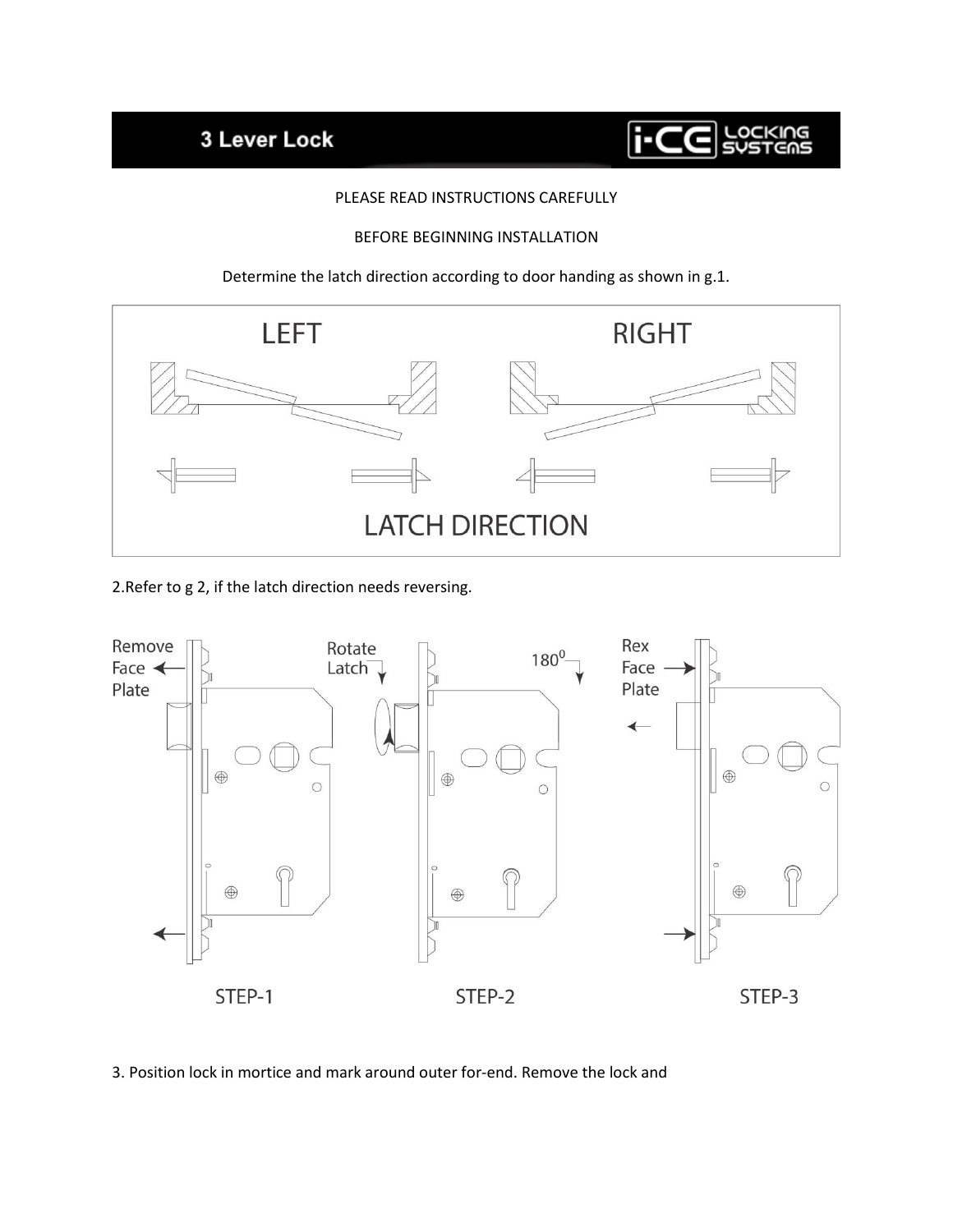## 3 Lever Lock



## PLEASE READ INSTRUCTIONS CAREFULLY

## BEFORE BEGINNING INSTALLATION

Determine the latch direction according to door handing as shown in g.1.



2.Refer to g 2, if the latch direction needs reversing.



3. Position lock in mortice and mark around outer for-end. Remove the lock and